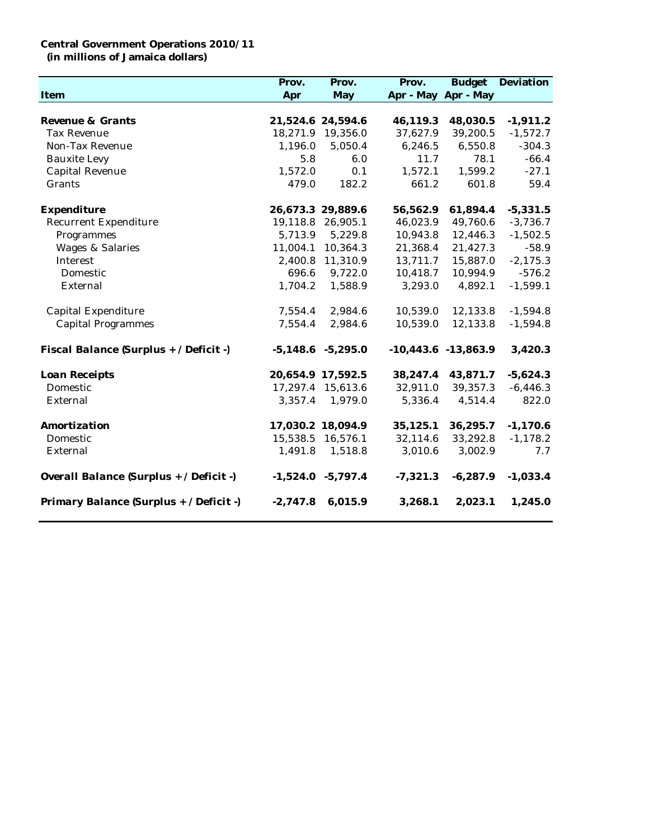## **Central Government Operations 2010/11 (in millions of Jamaica dollars)**

|                                         | Prov.      | Prov.                 | Prov.      |                         | <b>Budget</b> Deviation |
|-----------------------------------------|------------|-----------------------|------------|-------------------------|-------------------------|
| Item                                    | Apr        | May                   |            | Apr - May Apr - May     |                         |
|                                         |            |                       |            |                         |                         |
| Revenue & Grants                        |            | 21,524.6 24,594.6     | 46,119.3   | 48,030.5                | $-1,911.2$              |
| <b>Tax Revenue</b>                      |            | 18,271.9 19,356.0     | 37,627.9   | 39,200.5                | $-1,572.7$              |
| Non-Tax Revenue                         | 1,196.0    | 5,050.4               | 6,246.5    | 6,550.8                 | $-304.3$                |
| <b>Bauxite Levy</b>                     | 5.8        | 6.0                   | 11.7       | 78.1                    | $-66.4$                 |
| Capital Revenue                         | 1,572.0    | 0.1                   | 1,572.1    | 1,599.2                 | $-27.1$                 |
| Grants                                  | 479.0      | 182.2                 | 661.2      | 601.8                   | 59.4                    |
| Expenditure                             |            | 26,673.3 29,889.6     | 56,562.9   | 61,894.4                | $-5,331.5$              |
| <b>Recurrent Expenditure</b>            | 19,118.8   | 26,905.1              | 46,023.9   | 49,760.6                | $-3,736.7$              |
| Programmes                              | 5,713.9    | 5,229.8               | 10,943.8   | 12,446.3                | $-1,502.5$              |
| <b>Wages &amp; Salaries</b>             | 11,004.1   | 10,364.3              | 21,368.4   | 21,427.3                | $-58.9$                 |
| Interest                                | 2,400.8    | 11,310.9              | 13,711.7   | 15,887.0                | $-2,175.3$              |
| Domestic                                | 696.6      | 9,722.0               | 10,418.7   | 10,994.9                | $-576.2$                |
| External                                | 1,704.2    | 1,588.9               | 3,293.0    | 4,892.1                 | $-1,599.1$              |
| Capital Expenditure                     | 7,554.4    | 2,984.6               | 10,539.0   | 12,133.8                | $-1,594.8$              |
| <b>Capital Programmes</b>               | 7,554.4    | 2,984.6               | 10,539.0   | 12,133.8                | $-1,594.8$              |
| Fiscal Balance (Surplus + / Deficit -)  |            | $-5,148.6$ $-5,295.0$ |            | $-10,443.6$ $-13,863.9$ | 3,420.3                 |
| Loan Receipts                           |            | 20,654.9 17,592.5     | 38,247.4   | 43,871.7                | $-5,624.3$              |
| Domestic                                |            | 17,297.4 15,613.6     | 32,911.0   | 39,357.3                | $-6,446.3$              |
| External                                | 3,357.4    | 1,979.0               | 5,336.4    | 4,514.4                 | 822.0                   |
| Amortization                            |            | 17,030.2 18,094.9     | 35,125.1   | 36,295.7                | $-1,170.6$              |
| Domestic                                | 15,538.5   | 16,576.1              | 32,114.6   | 33,292.8                | $-1,178.2$              |
| External                                | 1,491.8    | 1,518.8               | 3,010.6    | 3,002.9                 | 7.7                     |
| Overall Balance (Surplus + / Deficit -) |            | $-1,524.0$ $-5,797.4$ | $-7,321.3$ | $-6,287.9$              | $-1,033.4$              |
| Primary Balance (Surplus + / Deficit -) | $-2,747.8$ | 6,015.9               | 3,268.1    | 2,023.1                 | 1,245.0                 |